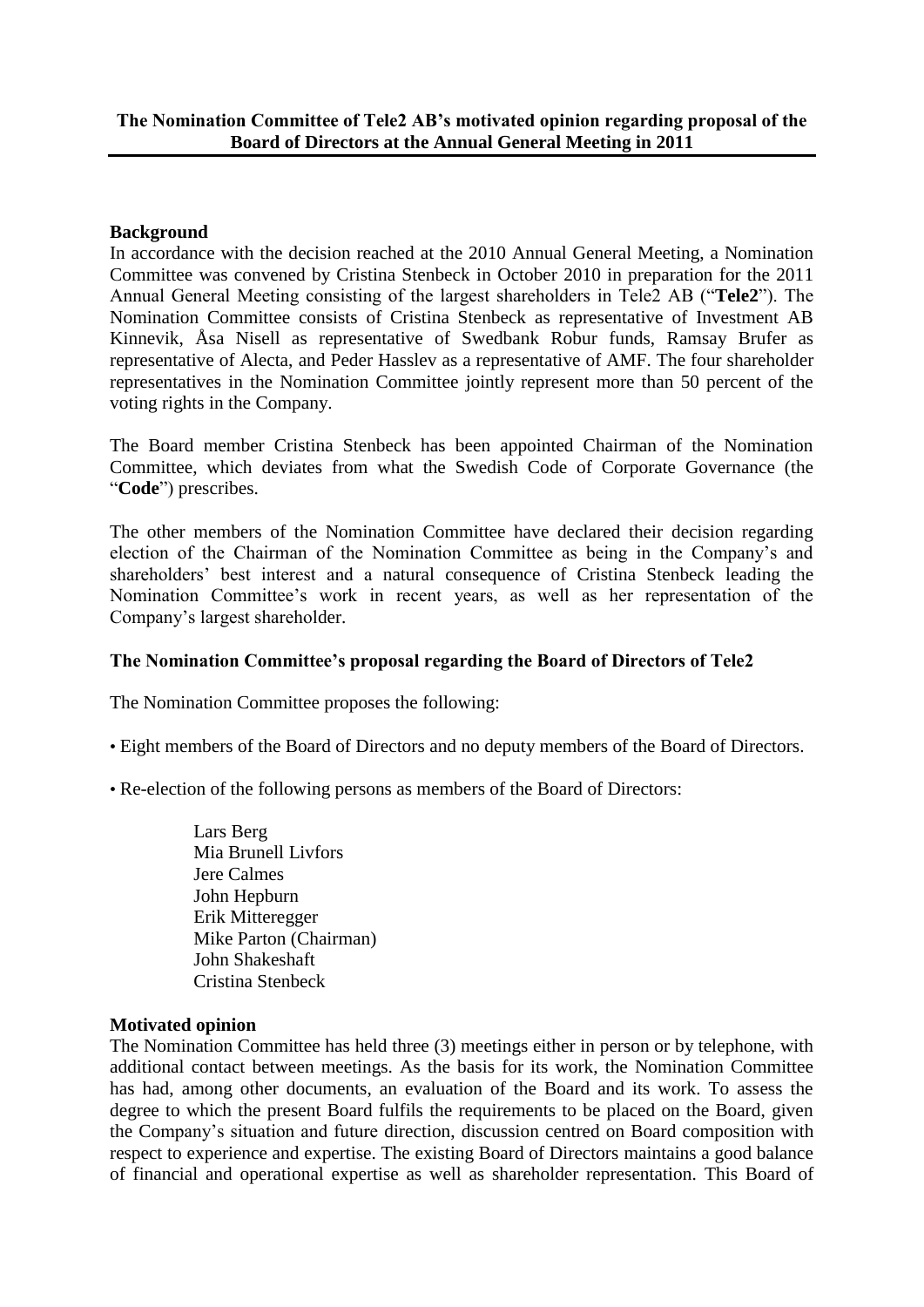## **Background**

In accordance with the decision reached at the 2010 Annual General Meeting, a Nomination Committee was convened by Cristina Stenbeck in October 2010 in preparation for the 2011 Annual General Meeting consisting of the largest shareholders in Tele2 AB ("**Tele2**"). The Nomination Committee consists of Cristina Stenbeck as representative of Investment AB Kinnevik, Åsa Nisell as representative of Swedbank Robur funds, Ramsay Brufer as representative of Alecta, and Peder Hasslev as a representative of AMF. The four shareholder representatives in the Nomination Committee jointly represent more than 50 percent of the voting rights in the Company.

The Board member Cristina Stenbeck has been appointed Chairman of the Nomination Committee, which deviates from what the Swedish Code of Corporate Governance (the "**Code**") prescribes.

The other members of the Nomination Committee have declared their decision regarding election of the Chairman of the Nomination Committee as being in the Company's and shareholders' best interest and a natural consequence of Cristina Stenbeck leading the Nomination Committee's work in recent years, as well as her representation of the Company's largest shareholder.

## **The Nomination Committee's proposal regarding the Board of Directors of Tele2**

The Nomination Committee proposes the following:

- Eight members of the Board of Directors and no deputy members of the Board of Directors.
- Re-election of the following persons as members of the Board of Directors:
	- Lars Berg Mia Brunell Livfors Jere Calmes John Hepburn Erik Mitteregger Mike Parton (Chairman) John Shakeshaft Cristina Stenbeck

## **Motivated opinion**

The Nomination Committee has held three (3) meetings either in person or by telephone, with additional contact between meetings. As the basis for its work, the Nomination Committee has had, among other documents, an evaluation of the Board and its work. To assess the degree to which the present Board fulfils the requirements to be placed on the Board, given the Company's situation and future direction, discussion centred on Board composition with respect to experience and expertise. The existing Board of Directors maintains a good balance of financial and operational expertise as well as shareholder representation. This Board of